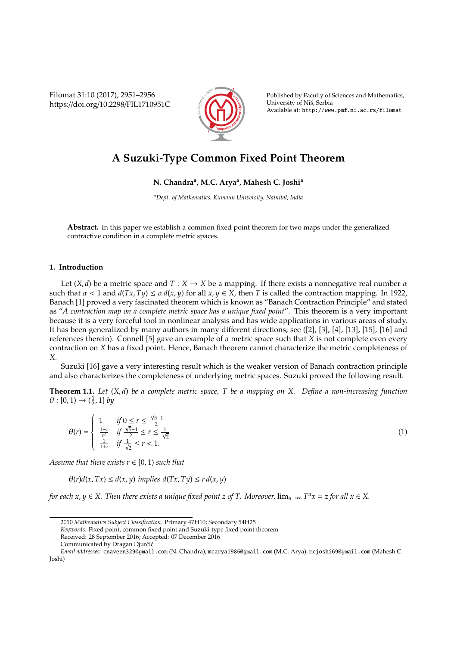Filomat 31:10 (2017), 2951–2956 https://doi.org/10.2298/FIL1710951C



Published by Faculty of Sciences and Mathematics, University of Niš, Serbia Available at: http://www.pmf.ni.ac.rs/filomat

# **A Suzuki-Type Common Fixed Point Theorem**

## **N. Chandra<sup>a</sup> , M.C. Arya<sup>a</sup> , Mahesh C. Joshi<sup>a</sup>**

*<sup>a</sup>Dept. of Mathematics, Kumaun University, Nainital, India*

**Abstract.** In this paper we establish a common fixed point theorem for two maps under the generalized contractive condition in a complete metric spaces.

### **1. Introduction**

Let  $(X, d)$  be a metric space and  $T : X \to X$  be a mapping. If there exists a nonnegative real number  $\alpha$ such that  $\alpha$  < 1 and  $d(Tx, Ty) \le \alpha d(x, y)$  for all  $x, y \in X$ , then *T* is called the contraction mapping. In 1922, Banach [1] proved a very fascinated theorem which is known as "Banach Contraction Principle" and stated as "*A contraction map on a complete metric space has a unique fixed point*". This theorem is a very important because it is a very forceful tool in nonlinear analysis and has wide applications in various areas of study. It has been generalized by many authors in many different directions; see ([2], [3], [4], [13], [15], [16] and references therein). Connell [5] gave an example of a metric space such that *X* is not complete even every contraction on *X* has a fixed point. Hence, Banach theorem cannot characterize the metric completeness of *X*.

Suzuki [16] gave a very interesting result which is the weaker version of Banach contraction principle and also characterizes the completeness of underlying metric spaces. Suzuki proved the following result.

**Theorem 1.1.** *Let* (*X*, *d*) *be a complete metric space, T be a mapping on X. Define a non-increasing function*  $\theta$  : [0, 1)  $\rightarrow$  ( $\frac{1}{2}$ , 1] by

$$
\theta(r) = \begin{cases} 1 & \text{if } 0 \le r \le \frac{\sqrt{5}-1}{2} \\ \frac{1-r}{r^2} & \text{if } \frac{\sqrt{5}-1}{2} \le r \le \frac{1}{\sqrt{2}} \\ \frac{1}{1+r} & \text{if } \frac{1}{\sqrt{2}} \le r < 1. \end{cases} \tag{1}
$$

*Assume that there exists*  $r \in [0, 1)$  *such that* 

 $\theta(r)d(x, Tx) \leq d(x, y)$  *implies*  $d(Tx, Ty) \leq r d(x, y)$ 

*for each x, y ∈ X. Then there exists a unique fixed point z of T. Moreover,*  $\lim_{n\to\infty} T^n x = z$  *for all*  $x \in X$ *.* 

*Keywords*. Fixed point, common fixed point and Suzuki-type fixed point theorem

Communicated by Dragan Djurčić

<sup>2010</sup> *Mathematics Subject Classification*. Primary 47H10; Secondary 54H25

Received: 28 September 2016; Accepted: 07 December 2016

*Email addresses:* cnaveen329@gmail.com (N. Chandra), mcarya1986@gmail.com (M.C. Arya), mcjoshi69@gmail.com (Mahesh C. Joshi)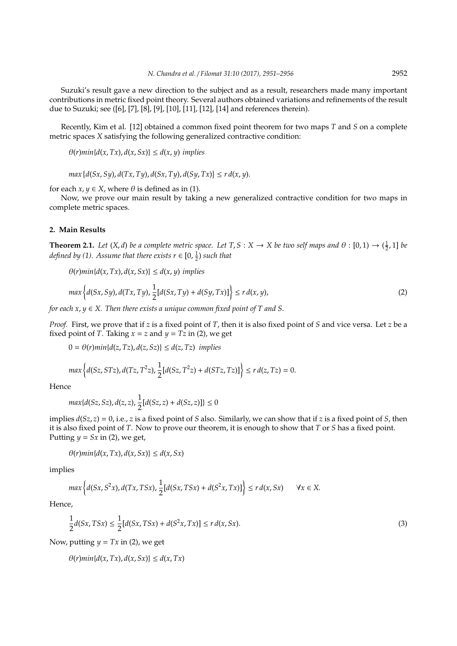Suzuki's result gave a new direction to the subject and as a result, researchers made many important contributions in metric fixed point theory. Several authors obtained variations and refinements of the result due to Suzuki; see ([6], [7], [8], [9], [10], [11], [12], [14] and references therein).

Recently, Kim et al. [12] obtained a common fixed point theorem for two maps *T* and *S* on a complete metric spaces *X* satisfying the following generalized contractive condition:

 $\Theta(r)min\{d(x, Tx), d(x, Sx)\}\leq d(x, y)$  *implies* 

 $max \{d(Sx, Sy), d(Tx, Ty), d(Sx, Ty), d(Sy, Tx)\} \leq r d(x, y).$ 

for each  $x, y \in X$ , where  $\theta$  is defined as in (1).

Now, we prove our main result by taking a new generalized contractive condition for two maps in complete metric spaces.

#### **2. Main Results**

**Theorem 2.1.** *Let*  $(X, d)$  *be a complete metric space. Let*  $T, S: X \to X$  *be two self maps and*  $\theta: [0, 1) \to (\frac{1}{2}, 1]$  *be defined by (1). Assume that there exists*  $r \in [0, \frac{1}{2})$  *such that* 

 $\theta(r) \min\{d(x, Tx), d(x, Sx)\} \leq d(x, y)$  *implies* 

$$
\max\left\{d(Sx, Sy), d(Tx, Ty), \frac{1}{2}[d(Sx, Ty) + d(Sy, Tx)]\right\} \le r d(x, y),\tag{2}
$$

*for each x*, *y* ∈ *X. Then there exists a unique common fixed point of T and S.*

*Proof.* First, we prove that if *z* is a fixed point of *T*, then it is also fixed point of *S* and vice versa. Let *z* be a fixed point of *T*. Taking  $x = z$  and  $y = Tz$  in (2), we get

 $0 = \theta(r)min\{d(z, Tz), d(z, Sz)\} \leq d(z, Tz)$  *implies* 

$$
\max\left\{d(Sz, STz), d(Tz, T^2z), \frac{1}{2}[d(Sz, T^2z) + d(STz, Tz)]\right\} \le r\,d(z, Tz) = 0.
$$

Hence

$$
max\{d(Sz, Sz), d(z, z), \frac{1}{2}[d(Sz, z) + d(Sz, z)]\} \le 0
$$

implies *d*(*Sz*, *z*) = 0, i.e., *z* is a fixed point of *S* also. Similarly, we can show that if *z* is a fixed point of *S*, then it is also fixed point of *T*. Now to prove our theorem, it is enough to show that *T* or *S* has a fixed point. Putting  $y = Sx$  in (2), we get,

$$
\theta(r)min\{d(x,Tx),d(x,Sx)\}\leq d(x,Sx)
$$

implies

$$
\max\left\{d(Sx, S^2x), d(Tx, TSx), \frac{1}{2}[d(Sx, TSx) + d(S^2x, Tx)]\right\} \le r\,d(x, Sx) \qquad \forall x \in X.
$$

Hence,

$$
\frac{1}{2}d(Sx, TSx) \le \frac{1}{2}[d(Sx, TSx) + d(S^2x, Tx)] \le r d(x, Sx).
$$
\n(3)

Now, putting  $y = Tx$  in (2), we get

 $\theta(r)min\{d(x, Tx), d(x, Sx)\}\leq d(x, Tx)$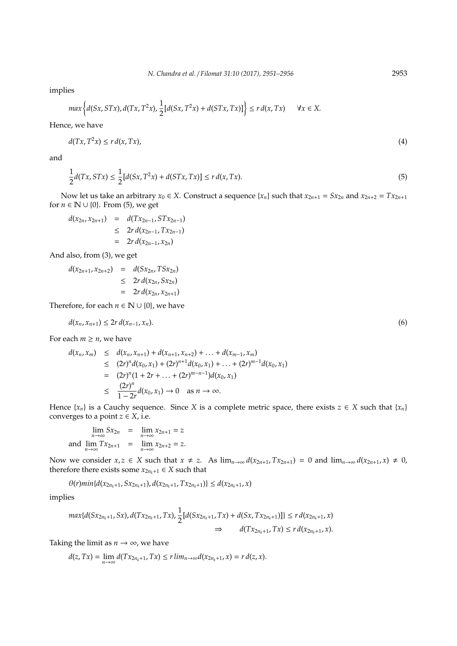implies

$$
\max\left\{d(Sx, STx), d(Tx, T^2x), \frac{1}{2}[d(Sx, T^2x) + d(STx, Tx)]\right\} \le r d(x, Tx) \quad \forall x \in X.
$$

Hence, we have

$$
d(Tx, T^2x) \le r d(x, Tx), \tag{4}
$$

and

$$
\frac{1}{2}d(Tx, STx) \le \frac{1}{2}[d(Sx, T^2x) + d(STx, Tx)] \le r d(x, Tx).
$$
\n(5)

Now let us take an arbitrary  $x_0 \in X$ . Construct a sequence  $\{x_n\}$  such that  $x_{2n+1} = Sx_{2n}$  and  $x_{2n+2} = Tx_{2n+1}$ for  $n \in \mathbb{N} \cup \{0\}$ . From (5), we get

$$
d(x_{2n}, x_{2n+1}) = d(Tx_{2n-1}, STx_{2n-1})
$$
  
\n
$$
\leq 2rd(x_{2n-1}, Tx_{2n-1})
$$
  
\n
$$
= 2rd(x_{2n-1}, x_{2n})
$$

And also, from (3), we get

$$
d(x_{2n+1}, x_{2n+2}) = d(Sx_{2n}, TSx_{2n})
$$
  
\n
$$
\leq 2rd(x_{2n}, Sx_{2n})
$$
  
\n
$$
= 2rd(x_{2n}, x_{2n+1})
$$

Therefore, for each  $n \in \mathbb{N} \cup \{0\}$ , we have

$$
d(x_n, x_{n+1}) \le 2r d(x_{n-1}, x_n). \tag{6}
$$

For each  $m \geq n$ , we have

$$
d(x_n, x_m) \leq d(x_n, x_{n+1}) + d(x_{n+1}, x_{n+2}) + \dots + d(x_{m-1}, x_m)
$$
  
\n
$$
\leq (2r)^n d(x_0, x_1) + (2r)^{n+1} d(x_0, x_1) + \dots + (2r)^{m-1} d(x_0, x_1)
$$
  
\n
$$
= (2r)^n (1 + 2r + \dots + (2r)^{m-n-1}) d(x_0, x_1)
$$
  
\n
$$
\leq \frac{(2r)^n}{1 - 2r} d(x_0, x_1) \to 0 \quad \text{as } n \to \infty.
$$

Hence  $\{x_n\}$  is a Cauchy sequence. Since *X* is a complete metric space, there exists  $z \in X$  such that  $\{x_n\}$ converges to a point  $z \in X$ , i.e.

 $\lim_{n \to \infty} Sx_{2n} = \lim_{n \to \infty} x_{2n+1} = z$ and  $\lim_{n \to \infty} Tx_{2n+1} = \lim_{n \to \infty} x_{2n+2} = z$ .

Now we consider  $x, z \in X$  such that  $x \neq z$ . As  $\lim_{n\to\infty} d(x_{2n+1}, Tx_{2n+1}) = 0$  and  $\lim_{n\to\infty} d(x_{2n+1}, x) \neq 0$ , therefore there exists some  $x_{2n_k+1} \in X$  such that

 $\theta(r)min\{d(x_{2n_k+1}, Sx_{2n_k+1}), d(x_{2n_k+1}, Tx_{2n_k+1})\} \leq d(x_{2n_k+1}, x)$ 

implies

$$
\max\{d(Sx_{2n_k+1},Sx), d(Tx_{2n_k+1},Tx), \frac{1}{2}[d(Sx_{2n_k+1},Tx) + d(Sx,Tx_{2n_k+1})]\} \le r d(x_{2n_k+1},x) \n\Rightarrow d(Tx_{2n_k+1},Tx) \le r d(x_{2n_k+1},x).
$$

Taking the limit as  $n \rightarrow \infty$ , we have

$$
d(z,Tx)=\lim_{n\to\infty}d(Tx_{2n_k+1},Tx)\leq r\lim_{n\to\infty}d(x_{2n_k+1},x)=rd(z,x).
$$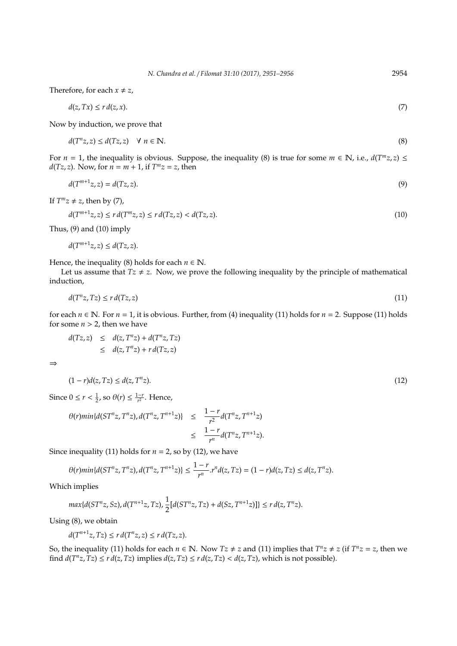Therefore, for each  $x \neq z$ ,

$$
d(z,Tx) \le r d(z,x). \tag{7}
$$

Now by induction, we prove that

$$
d(T^{n}z, z) \le d(Tz, z) \quad \forall \ n \in \mathbb{N}.
$$
\n
$$
(8)
$$

For  $n = 1$ , the inequality is obvious. Suppose, the inequality (8) is true for some  $m \in \mathbb{N}$ , i.e.,  $d(T^m z, z) \leq$ *d*(*Tz*, *z*). Now, for  $n = m + 1$ , if  $T^m z = z$ , then

$$
d(T^{m+1}z, z) = d(Tz, z). \tag{9}
$$

If  $T^{m}z \neq z$ , then by (7),

$$
d(T^{m+1}z, z) \le r d(T^m z, z) \le r d(Tz, z) < d(Tz, z). \tag{10}
$$

Thus,  $(9)$  and  $(10)$  imply

 $d(T^{m+1}z, z) \leq d(Tz, z).$ 

Hence, the inequality (8) holds for each  $n \in \mathbb{N}$ .

Let us assume that  $Tz \neq z$ . Now, we prove the following inequality by the principle of mathematical induction,

$$
d(T^n z, Tz) \le r d(Tz, z) \tag{11}
$$

for each  $n \in \mathbb{N}$ . For  $n = 1$ , it is obvious. Further, from (4) inequality (11) holds for  $n = 2$ . Suppose (11) holds for some  $n > 2$ , then we have

$$
d(Tz, z) \leq d(z, Tnz) + d(Tnz, Tz)
$$
  

$$
\leq d(z, Tnz) + r d(Tz, z)
$$

⇒

$$
(1-r)d(z,Tz) \leq d(z,T^{n}z). \tag{12}
$$

Since  $0 \le r < \frac{1}{2}$ , so  $\theta(r) \le \frac{1-r}{r^2}$ . Hence,

$$
\begin{array}{rcl}\n\theta(r)min\{d(ST^{n}z,T^{n}z),d(T^{n}z,T^{n+1}z)\} & \leq & \frac{1-r}{r^2}d(T^{n}z,T^{n+1}z) \\
& \leq & \frac{1-r}{r^n}d(T^{n}z,T^{n+1}z).\n\end{array}
$$

Since inequality (11) holds for  $n = 2$ , so by (12), we have

$$
\theta(r)\min\{d(ST^nz,T^nz), d(T^nz,T^{n+1}z)\}\leq \frac{1-r}{r^n}.r^nd(z,Tz)=(1-r)d(z,Tz)\leq d(z,T^nz).
$$

Which implies

$$
max{d(ST^{n}z, Sz), d(T^{n+1}z, Tz), \frac{1}{2}[d(ST^{n}z, Tz) + d(Sz, T^{n+1}z)]} \le r d(z, T^{n}z).
$$

Using (8), we obtain

$$
d(T^{n+1}z, Tz) \le r d(T^n z, z) \le r d(Tz, z).
$$

So, the inequality (11) holds for each  $n \in \mathbb{N}$ . Now  $Tz \neq z$  and (11) implies that  $T^n z \neq z$  (if  $T^n z = z$ , then we find  $d(T^n z, Tz) \leq r d(z, Tz)$  implies  $d(z, Tz) \leq r d(z, Tz) < d(z, Tz)$ , which is not possible).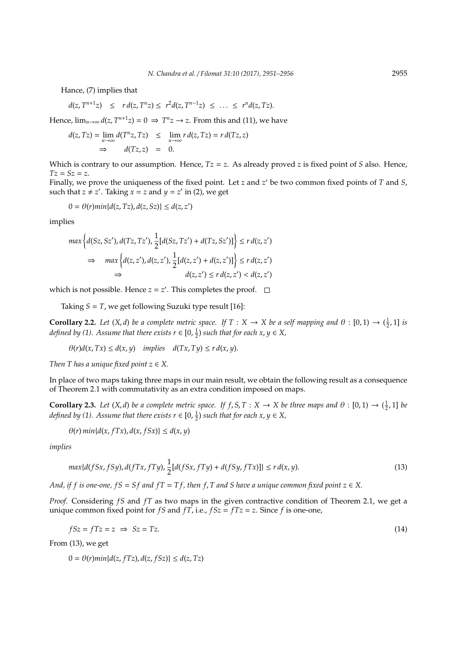Hance, (7) implies that

$$
d(z, T^{n+1}z) \leq r d(z, T^{n}z) \leq r^2 d(z, T^{n-1}z) \leq \ldots \leq r^{n} d(z, Tz).
$$

Hence,  $\lim_{n\to\infty} d(z, T^{n+1}z) = 0 \implies T^n z \to z$ . From this and (11), we have

$$
d(z, Tz) = \lim_{n \to \infty} d(T^n z, Tz) \leq \lim_{n \to \infty} r d(z, Tz) = r d(Tz, z)
$$
  
\n
$$
\Rightarrow d(Tz, z) = 0.
$$

Which is contrary to our assumption. Hence,  $Tz = z$ . As already proved *z* is fixed point of *S* also. Hence,  $Tz = Sz = z$ .

Finally, we prove the uniqueness of the fixed point. Let *z* and *z'* be two common fixed points of *T* and *S*, such that  $z \neq z'$ . Taking  $x = z$  and  $y = z'$  in (2), we get

$$
0 = \theta(r)min\{d(z, Tz), d(z, Sz)\} \leq d(z, z')
$$

implies

$$
\max \left\{ d(Sz, Sz'), d(Tz, Tz'), \frac{1}{2} [d(Sz, Tz') + d(Tz, Sz')] \right\} \le r d(z, z')
$$
  

$$
\Rightarrow \max \left\{ d(z, z'), d(z, z') , \frac{1}{2} [d(z, z') + d(z, z')] \right\} \le r d(z, z')
$$
  

$$
\Rightarrow d(z, z') \le r d(z, z') < d(z, z')
$$

which is not possible. Hence  $z = z'$ . This completes the proof.

Taking  $S = T$ , we get following Suzuki type result [16]:

**Corollary 2.2.** *Let*  $(X, d)$  *be a complete metric space. If*  $T : X \to X$  *be a self mapping and*  $\theta : [0, 1) \to (\frac{1}{2}, 1]$  *is defined by (1). Assume that there exists*  $r \in [0, \frac{1}{2})$  such that for each  $x, y \in X$ ,

 $\theta(r)d(x, Tx) \leq d(x, y)$  *implies*  $d(Tx, Ty) \leq r d(x, y)$ .

*Then T has a unique fixed point*  $z \in X$ .

In place of two maps taking three maps in our main result, we obtain the following result as a consequence of Theorem 2.1 with commutativity as an extra condition imposed on maps.

**Corollary 2.3.** *Let*  $(X, d)$  *be a complete metric space. If*  $f, S, T : X \to X$  *be three maps and*  $\theta : [0, 1) \to (\frac{1}{2}, 1]$  *be defined by (1). Assume that there exists*  $r \in [0, \frac{1}{2})$  *such that for each*  $x, y \in X$ *,* 

$$
\theta(r) \min\{d(x, fTx), d(x, fSx)\} \le d(x, y)
$$

*implies*

$$
\max\{d(fSx, fSy), d(fTx, fTy), \frac{1}{2}[d(fSx, fTy) + d(fSy, fTx)]\} \le r d(x, y).
$$
\n(13)

*And, if f is one-one, fS* = *Sf and fT* = *Tf, then f, T and S have a unique common fixed point*  $z \in X$ .

*Proof.* Considering *fS* and *fT* as two maps in the given contractive condition of Theorem 2.1, we get a unique common fixed point for *f S* and *f T*, i.e.,  $fSz = fTz = z$ . Since *f* is one-one,

$$
fSz = fTz = z \implies Sz = Tz. \tag{14}
$$

From (13), we get

$$
0 = \theta(r)min\{d(z, fTz), d(z, fSz)\} \le d(z, Tz)
$$